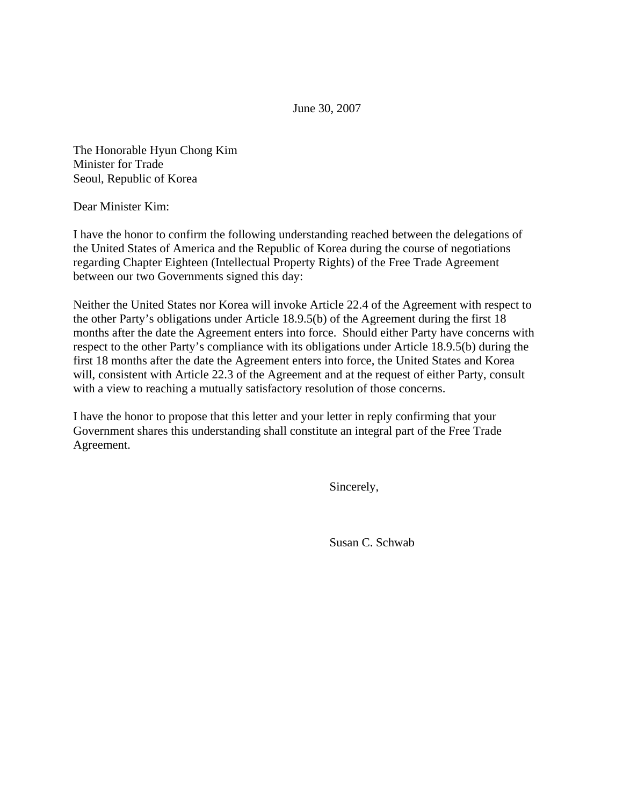June 30, 2007

The Honorable Hyun Chong Kim Minister for Trade Seoul, Republic of Korea

Dear Minister Kim:

I have the honor to confirm the following understanding reached between the delegations of the United States of America and the Republic of Korea during the course of negotiations regarding Chapter Eighteen (Intellectual Property Rights) of the Free Trade Agreement between our two Governments signed this day:

Neither the United States nor Korea will invoke Article 22.4 of the Agreement with respect to the other Party's obligations under Article 18.9.5(b) of the Agreement during the first 18 months after the date the Agreement enters into force. Should either Party have concerns with respect to the other Party's compliance with its obligations under Article 18.9.5(b) during the first 18 months after the date the Agreement enters into force, the United States and Korea will, consistent with Article 22.3 of the Agreement and at the request of either Party, consult with a view to reaching a mutually satisfactory resolution of those concerns.

I have the honor to propose that this letter and your letter in reply confirming that your Government shares this understanding shall constitute an integral part of the Free Trade Agreement.

Sincerely,

Susan C. Schwab